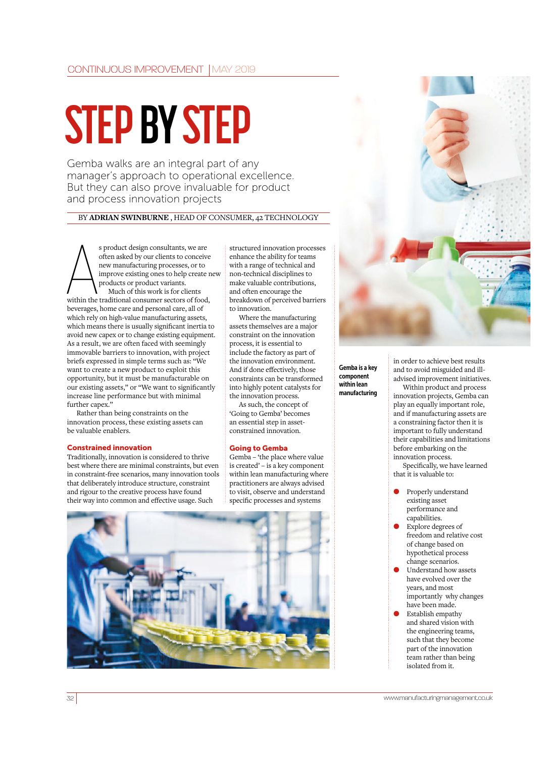# **STEP BY STEP**

Gemba walks are an integral part of any manager's approach to operational excellence. But they can also prove invaluable for product and process innovation projects

## BY **ADRIAN SWINBURNE** , HEAD OF CONSUMER, 42 TECHNOLOGY

s product design consultants, we are<br>often asked by our clients to conceive<br>new manufacturing processes, or to<br>improve existing ones to help create<br>products or product variants.<br>Much of this work is for clients<br>within the often asked by our clients to conceive new manufacturing processes, or to improve existing ones to help create new products or product variants. Much of this work is for clients within the traditional consumer sectors of food, beverages, home care and personal care, all of which rely on high-value manufacturing assets, which means there is usually significant inertia to avoid new capex or to change existing equipment. As a result, we are often faced with seemingly immovable barriers to innovation, with project briefs expressed in simple terms such as: "We want to create a new product to exploit this opportunity, but it must be manufacturable on our existing assets," or "We want to significantly increase line performance but with minimal further capex."

Rather than being constraints on the innovation process, these existing assets can be valuable enablers.

## Constrained innovation

Traditionally, innovation is considered to thrive best where there are minimal constraints, but even in constraint-free scenarios, many innovation tools that deliberately introduce structure, constraint and rigour to the creative process have found their way into common and effective usage. Such

structured innovation processes enhance the ability for teams with a range of technical and non-technical disciplines to make valuable contributions, and often encourage the breakdown of perceived barriers to innovation.

Where the manufacturing assets themselves are a major constraint on the innovation process, it is essential to include the factory as part of the innovation environment. And if done effectively, those constraints can be transformed into highly potent catalysts for the innovation process.

As such, the concept of 'Going to Gemba' becomes an essential step in assetconstrained innovation.

## Going to Gemba

Gemba – 'the place where value is created' – is a key component within lean manufacturing where practitioners are always advised to visit, observe and understand specific processes and systems





Gemba is a key component within lean manufacturing

in order to achieve best results and to avoid misguided and illadvised improvement initiatives.

Within product and process innovation projects, Gemba can play an equally important role, and if manufacturing assets are a constraining factor then it is important to fully understand their capabilities and limitations before embarking on the innovation process.

Specifically, we have learned that it is valuable to:

- Properly understand existing asset performance and capabilities.
- Explore degrees of freedom and relative cost of change based on hypothetical process change scenarios.
- Understand how assets have evolved over the years, and most importantly why changes have been made.
- Establish empathy and shared vision with the engineering teams, such that they become part of the innovation team rather than being isolated from it.